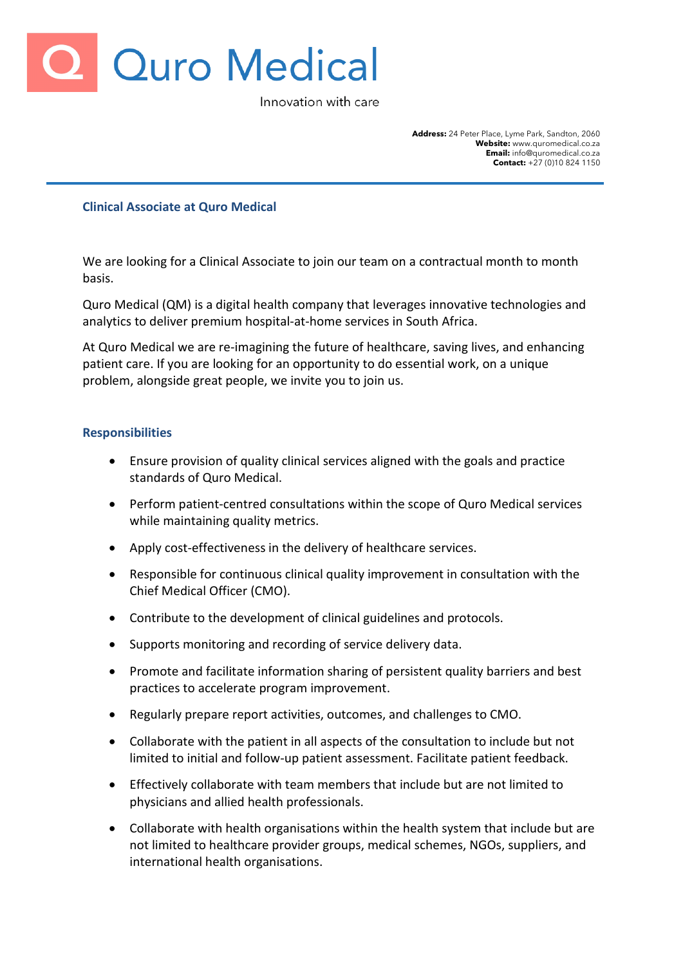

Innovation with care

**Address:** 24 Peter Place, Lyme Park, Sandton, 2060 **Website:** www.quromedical.co.za **Email:** info@quromedical.co.za **Contact:** +27 (0)10 824 1150

## **Clinical Associate at Quro Medical**

We are looking for a Clinical Associate to join our team on a contractual month to month basis.

Quro Medical (QM) is a digital health company that leverages innovative technologies and analytics to deliver premium hospital-at-home services in South Africa.

At Quro Medical we are re-imagining the future of healthcare, saving lives, and enhancing patient care. If you are looking for an opportunity to do essential work, on a unique problem, alongside great people, we invite you to join us.

## **Responsibilities**

- Ensure provision of quality clinical services aligned with the goals and practice standards of Quro Medical.
- Perform patient-centred consultations within the scope of Quro Medical services while maintaining quality metrics.
- Apply cost-effectiveness in the delivery of healthcare services.
- Responsible for continuous clinical quality improvement in consultation with the Chief Medical Officer (CMO).
- Contribute to the development of clinical guidelines and protocols.
- Supports monitoring and recording of service delivery data.
- Promote and facilitate information sharing of persistent quality barriers and best practices to accelerate program improvement.
- Regularly prepare report activities, outcomes, and challenges to CMO.
- Collaborate with the patient in all aspects of the consultation to include but not limited to initial and follow-up patient assessment. Facilitate patient feedback.
- Effectively collaborate with team members that include but are not limited to physicians and allied health professionals.
- Collaborate with health organisations within the health system that include but are not limited to healthcare provider groups, medical schemes, NGOs, suppliers, and international health organisations.